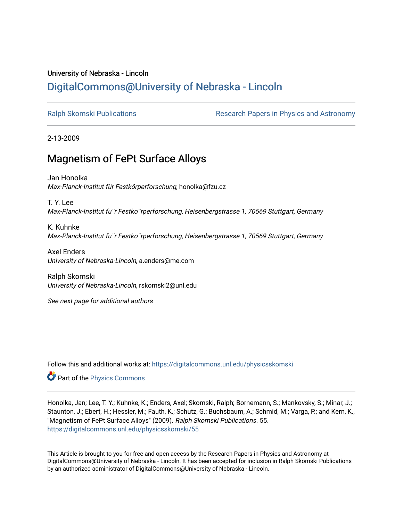## University of Nebraska - Lincoln [DigitalCommons@University of Nebraska - Lincoln](https://digitalcommons.unl.edu/)

[Ralph Skomski Publications](https://digitalcommons.unl.edu/physicsskomski) The Research Papers in Physics and Astronomy

2-13-2009

## Magnetism of FePt Surface Alloys

Jan Honolka Max-Planck-Institut für Festkörperforschung, honolka@fzu.cz

T. Y. Lee Max-Planck-Institut fu¨r Festko¨rperforschung, Heisenbergstrasse 1, 70569 Stuttgart, Germany

K. Kuhnke Max-Planck-Institut fu¨r Festko¨rperforschung, Heisenbergstrasse 1, 70569 Stuttgart, Germany

Axel Enders University of Nebraska-Lincoln, a.enders@me.com

Ralph Skomski University of Nebraska-Lincoln, rskomski2@unl.edu

See next page for additional authors

Follow this and additional works at: [https://digitalcommons.unl.edu/physicsskomski](https://digitalcommons.unl.edu/physicsskomski?utm_source=digitalcommons.unl.edu%2Fphysicsskomski%2F55&utm_medium=PDF&utm_campaign=PDFCoverPages) 

Part of the [Physics Commons](http://network.bepress.com/hgg/discipline/193?utm_source=digitalcommons.unl.edu%2Fphysicsskomski%2F55&utm_medium=PDF&utm_campaign=PDFCoverPages)

Honolka, Jan; Lee, T. Y.; Kuhnke, K.; Enders, Axel; Skomski, Ralph; Bornemann, S.; Mankovsky, S.; Minar, J.; Staunton, J.; Ebert, H.; Hessler, M.; Fauth, K.; Schutz, G.; Buchsbaum, A.; Schmid, M.; Varga, P.; and Kern, K., "Magnetism of FePt Surface Alloys" (2009). Ralph Skomski Publications. 55. [https://digitalcommons.unl.edu/physicsskomski/55](https://digitalcommons.unl.edu/physicsskomski/55?utm_source=digitalcommons.unl.edu%2Fphysicsskomski%2F55&utm_medium=PDF&utm_campaign=PDFCoverPages)

This Article is brought to you for free and open access by the Research Papers in Physics and Astronomy at DigitalCommons@University of Nebraska - Lincoln. It has been accepted for inclusion in Ralph Skomski Publications by an authorized administrator of DigitalCommons@University of Nebraska - Lincoln.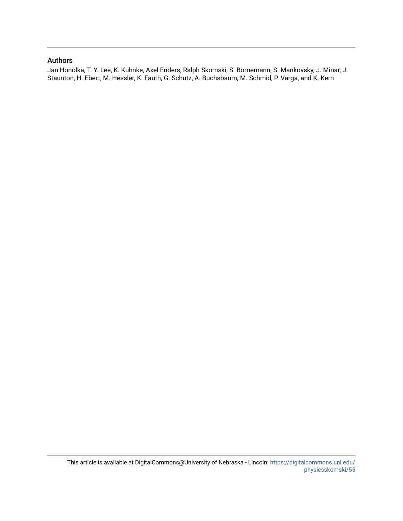## Authors

Jan Honolka, T. Y. Lee, K. Kuhnke, Axel Enders, Ralph Skomski, S. Bornemann, S. Mankovsky, J. Minar, J. Staunton, H. Ebert, M. Hessler, K. Fauth, G. Schutz, A. Buchsbaum, M. Schmid, P. Varga, and K. Kern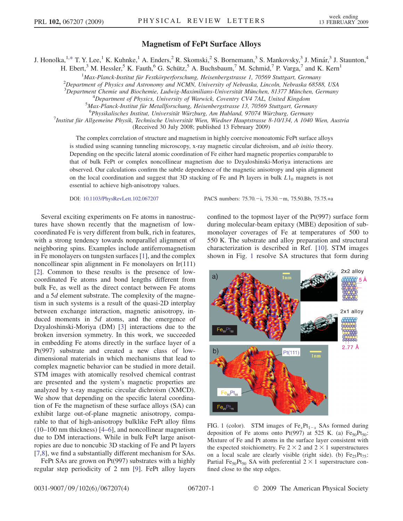## Magnetism of FePt Surface Alloys

<span id="page-2-0"></span>J. Honolka,<sup>1,[\\*](#page-5-0)</sup> T. Y. Lee,<sup>1</sup> K. Kuhnke,<sup>1</sup> A. Enders,<sup>2</sup> R. Skomski,<sup>2</sup> S. Bornemann,<sup>3</sup> S. Mankovsky,<sup>3</sup> J. Minár,<sup>3</sup> J. Staunton,<sup>4</sup>

H. Ebert,<sup>3</sup> M. Hessler,<sup>5</sup> K. Fauth,<sup>6</sup> G. Schütz,<sup>5</sup> A. Buchsbaum,<sup>7</sup> M. Schmid,<sup>7</sup> P. Varga,<sup>7</sup> and K. Kern<sup>1</sup>

<sup>1</sup>Max-Planck-Institut für Festkörperforschung, Heisenbergstrasse 1, 70569 Stuttgart, Germany<br><sup>2</sup>Department of Physics and Astronomy and NGMN, University of Nebraska, Lingeln, Nebraska 6858

 $^{2}$ Department of Physics and Astronomy and NCMN, University of Nebraska, Lincoln, Nebraska 68588, USA

<sup>3</sup>Department Chemie und Biochemie, Ludwig-Maximilians-Universität München, 81377 München, Germany <sup>4</sup>Department of Physics University of Wanyick Coventry CV4 741. United Kingdom

<sup>4</sup>Department of Physics, University of Warwick, Coventry CV4 7AL, United Kingdom

 $^5$ Max-Planck-Institut für Metallforschung, Heisenbergstrasse 13, 70569 Stuttgart, Germany

 ${}^{6}P$ hysikalisches Institut, Universität Würzburg, Am Hubland, 97074 Würzburg, Germany

<sup>7</sup>Institut für Allgemeine Physik, Technische Universität Wien, Wiedner Hauptstrasse 8-10/134, A 1040 Wien, Austria

(Received 30 July 2008; published 13 February 2009)

The complex correlation of structure and magnetism in highly coercive monoatomic FePt surface alloys is studied using scanning tunneling microscopy, x-ray magnetic circular dichroism, and *ab initio* theory. Depending on the specific lateral atomic coordination of Fe either hard magnetic properties comparable to that of bulk FePt or complex noncollinear magnetism due to Dzyaloshinski-Moriya interactions are observed. Our calculations confirm the subtle dependence of the magnetic anisotropy and spin alignment on the local coordination and suggest that 3D stacking of Fe and Pt layers in bulk  $L1_0$  magnets is not essential to achieve high-anisotropy values.

DOI: [10.1103/PhysRevLett.102.067207](http://dx.doi.org/10.1103/PhysRevLett.102.067207) PACS numbers: 75.70. - i, 75.30. - m, 75.50.Bb, 75.75.+a

Several exciting experiments on Fe atoms in nanostructures have shown recently that the magnetism of lowcoordinated Fe is very different from bulk, rich in features, with a strong tendency towards nonparallel alignment of neighboring spins. Examples include antiferromagnetism in Fe monolayers on tungsten surfaces [[1\]](#page-5-0), and the complex noncollinear spin alignment in Fe monolayers on Ir(111) [\[2\]](#page-5-0). Common to these results is the presence of lowcoordinated Fe atoms and bond lengths different from bulk Fe, as well as the direct contact between Fe atoms and a 5<sup>d</sup> element substrate. The complexity of the magnetism in such systems is a result of the quasi-2D interplay between exchange interaction, magnetic anisotropy, induced moments in 5<sup>d</sup> atoms, and the emergence of Dzyaloshinski-Moriya (DM) [\[3\]](#page-5-0) interactions due to the broken inversion symmetry. In this work, we succeeded in embedding Fe atoms directly in the surface layer of a Pt(997) substrate and created a new class of lowdimensional materials in which mechanisms that lead to complex magnetic behavior can be studied in more detail. STM images with atomically resolved chemical contrast are presented and the system's magnetic properties are analyzed by x-ray magnetic circular dichroism (XMCD). We show that depending on the specific lateral coordination of Fe the magnetism of these surface alloys (SA) can exhibit large out-of-plane magnetic anisotropy, comparable to that of high-anisotropy bulklike FePt alloy films (10–100 nm thickness) [[4–6\]](#page-5-0), and noncollinear magnetism due to DM interactions. While in bulk FePt large anisotropies are due to noncubic 3D stacking of Fe and Pt layers [\[7,8](#page-5-0)], we find a substantially different mechanism for SAs.

FePt SAs are grown on Pt(997) substrates with a highly regular step periodicity of 2 nm [\[9\]](#page-5-0). FePt alloy layers confined to the topmost layer of the Pt(997) surface form during molecular-beam epitaxy (MBE) deposition of submonolayer coverages of Fe at temperatures of 500 to 550 K. The substrate and alloy preparation and structural characterization is described in Ref. [[10](#page-5-0)]. STM images shown in Fig. 1 resolve SA structures that form during



FIG. 1 (color). STM images of  $Fe_xPt_{1-x}$  SAs formed during deposition of Fe atoms onto Pt(997) at 525 K. (a)  $Fe_{50}Pt_{50}$ : Mixture of Fe and Pt atoms in the surface layer consistent with the expected stoichiometry. Fe  $2 \times 2$  and  $2 \times 1$  superstructures<br>on a local scale are clearly visible (right side) (b)  $Fe^{-}P_{\text{tot}}$ on a local scale are clearly visible (right side). (b)  $Fe_{25}Pt_{75}$ : Partial Fe<sub>50</sub>Pt<sub>50</sub> SA with preferential  $2 \times 1$  superstructure confined close to the step edges fined close to the step edges.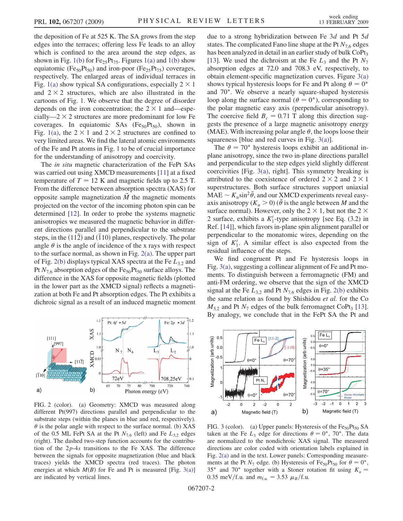<span id="page-3-0"></span>the deposition of Fe at 525 K. The SA grows from the step edges into the terraces; offering less Fe leads to an alloy which is confined to the area around the step edges, as shown in Fig. [1\(b\)](#page-2-0) for  $Fe_{25}Pt_{75}$ . Figures [1\(a\)](#page-2-0) and 1(b) show equiatomic (Fe<sub>50</sub>Pt<sub>50</sub>) and iron-poor (Fe<sub>25</sub>Pt<sub>75</sub>) coverages, respectively. The enlarged areas of individual terraces in Fig. [1\(a\)](#page-2-0) show typical SA configurations, especially  $2 \times 1$ and  $2 \times 2$  structures, which are also illustrated in the cartoons of Fig. 1. We observe that the degree of disorder cartoons of Fig. [1](#page-2-0). We observe that the degree of disorder depends on the iron concentration; the  $2 \times 1$  and—especially— $2 \times 2$  structures are more predominant for low Fe cially—2  $\times$  2 structures are more predominant for low Fe<br>coverages. In equipment SAs (FecePtca), shown in coverages. In equiatomic SAs  $(Fe_{50}Pt_{50})$ , shown in Fig. [1\(a\)](#page-2-0), the  $2 \times 1$  and  $2 \times 2$  structures are confined to very limited areas. We find the lateral atomic environments very limited areas. We find the lateral atomic environments of the Fe and Pt atoms in Fig. [1](#page-2-0) to be of crucial importance for the understanding of anisotropy and coercivity.

The in situ magnetic characterization of the FePt SAs was carried out using XMCD measurements [[11](#page-5-0)] at a fixed temperature of  $T = 12$  K and magnetic fields up to 2.5 T. From the difference between absorption spectra (XAS) for opposite sample magnetization  $\tilde{M}$  the magnetic moments projected on the vector of the incoming photon spin can be determined [\[12\]](#page-5-0). In order to probe the systems magnetic anisotropies we measured the magnetic behavior in different directions parallel and perpendicular to the substrate steps, in the  $(11\overline{2})$  and  $(\overline{1}10)$  planes, respectively. The polar angle  $\theta$  is the angle of incidence of the x rays with respect to the surface normal, as shown in Fig. 2(a). The upper part of Fig. 2(b) displays typical XAS spectra at the Fe  $L_{3,2}$  and Pt  $N_{7,6}$  absorption edges of the Fe<sub>50</sub>Pt<sub>50</sub> surface alloys. The difference in the XAS for opposite magnetic fields (plotted in the lower part as the XMCD signal) reflects a magnetization at both Fe and Pt absorption edges. The Pt exhibits a dichroic signal as a result of an induced magnetic moment



FIG. 2 (color). (a) Geometry: XMCD was measured along different Pt(997) directions parallel and perpendicular to the substrate steps (within the planes in blue and red, respectively).  $\theta$  is the polar angle with respect to the surface normal. (b) XAS of the 0.5 ML FePt SA at the Pt  $N_{7,6}$  (left) and Fe  $L_{3,2}$  edges (right). The dashed two-step function accounts for the contribution of the  $2p-4s$  transitions to the Fe XAS. The difference between the signals for opposite magnetization (blue and black traces) yields the XMCD spectra (red traces). The photon energies at which  $M(B)$  for Fe and Pt is measured [Fig. 3(a)] are indicated by vertical lines.

due to a strong hybridization between Fe 3<sup>d</sup> and Pt 5<sup>d</sup> states. The complicated Fano line shape at the Pt  $N_{76}$  edges has been analyzed in detail in an earlier study of bulk  $\text{CoPt}_3$ [\[13\]](#page-5-0). We used the dichroism at the Fe  $L_3$  and the Pt  $N_7$ absorption edges at 72.0 and 708.3 eV, respectively, to obtain element-specific magnetization curves. Figure 3(a) shows typical hysteresis loops for Fe and Pt along  $\theta = 0^{\circ}$ and 70°. We observe a nearly square-shaped hysteresis loop along the surface normal ( $\theta = 0^{\circ}$ ), corresponding to the polar magnetic easy axis (perpendicular anisotropy). The coercive field  $B_c = 0.71$  T along this direction suggests the presence of a large magnetic anisotropy energy (MAE). With increasing polar angle  $\theta$ , the loops loose their squareness [blue and red curves in Fig. 3(a)].

The  $\theta = 70^{\circ}$  hysteresis loops exhibit an additional inplane anisotropy, since the two in-plane directions parallel and perpendicular to the step edges yield slightly different coercivities [Fig. 3(a), right]. This symmetry breaking is attributed to the coexistence of ordered  $2 \times 2$  and  $2 \times$ <br>superstructures. Both surface structures support uniaxi 1 superstructures. Both surface structures support uniaxial  $MAE \sim K_u \sin^2 \theta$ , and our XMCD experiments reveal easyaxis anisotropy ( $K_u > 0$ ) ( $\theta$  is the angle between M and the surface normal). However, only the  $2 \times 1$ , but not the  $2 \times 2$  surface exhibits a K<sup>t</sup>-type anisotropy [see Eq. (3.2) in 2 surface, exhibits a  $K_1'$ -type anisotropy [see Eq. (3.2) in Ref. [141] which favors in-plane spin alignment parallel or Ref. [\[14\]](#page-5-0)], which favors in-plane spin alignment parallel or perpendicular to the monatomic wires, depending on the sign of  $K'_1$ . A similar effect is also expected from the residual influence of the steps residual influence of the steps.

We find congruent Pt and Fe hysteresis loops in Fig. 3(a), suggesting a collinear alignment of Fe and Pt moments. To distinguish between a ferromagnetic (FM) and anti-FM ordering, we observe that the sign of the XMCD signal at the Fe  $L_{3,2}$  and Pt  $N_{7,6}$  edges in Fig. 2(b) exhibits the same relation as found by Shishidou et al. for the Co  $M_{3,2}$  and Pt  $N_7$  edges of the bulk ferromagnet CoPt<sub>3</sub> [[13\]](#page-5-0).<br>By analogy we conclude that in the EePt SA the Pt and By analogy, we conclude that in the FePt SA the Pt and



FIG. 3 (color). (a) Upper panels: Hysteresis of the  $Fe_{50}Pt_{50}$  SA taken at the Fe  $L_3$  edge for directions  $\theta = 0^\circ$ , 70°. The data are normalized to the nondichroic XAS signal. The measured directions are color coded with orientation labels explained in Fig. 2(a) and in the text. Lower panels: Corresponding measurements at the Pt  $N_7$  edge. (b) Hysteresis of Fe<sub>50</sub>Pt<sub>50</sub> for  $\theta = 0^\circ$ , 35° and 70° together with a Stoner rotation fit using  $K_u =$ 0.35 meV/f.u. and  $m_{f.u.} = 3.53 \mu_B/f.u.$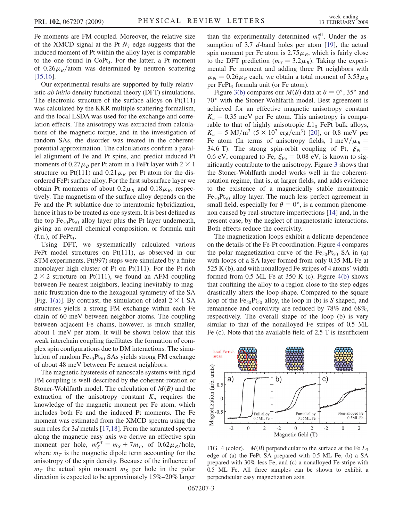<span id="page-4-0"></span>Fe moments are FM coupled. Moreover, the relative size of the XMCD signal at the Pt  $N_7$  edge suggests that the induced moment of Pt within the alloy layer is comparable to the one found in  $CoPt_3$ . For the latter, a Pt moment of  $0.26\mu_B$ /atom was determined by neutron scattering [\[15,16\]](#page-5-0).

Our experimental results are supported by fully relativistic ab initio density functional theory (DFT) simulations. The electronic structure of the surface alloys on Pt(111) was calculated by the KKR multiple scattering formalism, and the local LSDA was used for the exchange and correlation effects. The anisotropy was extracted from calculations of the magnetic torque, and in the investigation of random SAs, the disorder was treated in the coherentpotential approximation. The calculations confirm a parallel alignment of Fe and Pt spins, and predict induced Pt moments of  $0.27 \mu_B$  per Pt atom in a FePt layer with  $2 \times$ <br>structure on Pt(111) and 0.21  $\mu_B$  per Pt atom for the di structure on Pt(111) and  $0.21\mu_B$  per Pt atom for the dis-<br>ordered EePt surface alloy. For the first subsurface layer we ordered FePt surface alloy. For the first subsurface layer we obtain Pt moments of about  $0.2\mu_B$  and  $0.18\mu_B$ , respectively. The magnetism of the surface alloy depends on the tively. The magnetism of the surface alloy depends on the Fe and the Pt sublattice due to interatomic hybridization, hence it has to be treated as one system. It is best defined as the top  $Fe_{50}Pt_{50}$  alloy layer plus the Pt layer underneath, giving an overall chemical composition, or formula unit  $(f.u.),$  of FePt<sub>3</sub>.

Using DFT, we systematically calculated various FePt model structures on Pt(111), as observed in our STM experiments. Pt(997) steps were simulated by a finite monolayer high cluster of Pt on Pt(111). For the Pt-rich  $2 \times 2$  structure on Pt(111), we found an AFM coupling<br>between Ee nearest neighbors, leading inevitably to magbetween Fe nearest neighbors, leading inevitably to magnetic frustration due to the hexagonal symmetry of the SA [Fig. [1\(a\)](#page-2-0)]. By contrast, the simulation of ideal  $2 \times 1$  SA structures vields a strong EM exchange within each Fe structures yields a strong FM exchange within each Fe chain of 60 meV between neighbor atoms. The coupling between adjacent Fe chains, however, is much smaller, about 1 meV per atom. It will be shown below that this weak interchain coupling facilitates the formation of complex spin configurations due to DM interactions. The simulation of random  $Fe_{50}Pt_{50}$  SAs yields strong FM exchange of about 48 meV between Fe nearest neighbors.

The magnetic hysteresis of nanoscale systems with rigid FM coupling is well-described by the coherent-rotation or Stoner-Wohlfarth model. The calculation of  $M(B)$  and the extraction of the anisotropy constant  $K_u$  requires the knowledge of the magnetic moment per Fe atom, which includes both Fe and the induced Pt moments. The Fe moment was estimated from the XMCD spectra using the sum rules for 3<sup>d</sup> metals [\[17,18\]](#page-5-0). From the saturated spectra along the magnetic easy axis we derive an effective spin moment per hole,  $m_S^{\text{eff}} = m_S + 7m_T$ , of  $0.62 \mu_B/\text{hole}$ ,<br>where  $m_S$  is the magnetic dipole term accounting for the where  $m<sub>T</sub>$  is the magnetic dipole term accounting for the anisotropy of the spin density. Because of the influence of  $m<sub>T</sub>$  the actual spin moment  $m<sub>S</sub>$  per hole in the polar direction is expected to be approximately 15%–20% larger

than the experimentally determined  $m_S^{\text{eff}}$ . Under the assumption of 3.7  $d$ -band holes per atom [\[19\]](#page-5-0), the actual spin moment per Fe atom is  $2.75\mu_B$ , which is fairly close<br>to the DET prediction ( $m_s = 3.2\mu_S$ ). Taking the experito the DFT prediction  $(m<sub>S</sub> = 3.2 \mu<sub>B</sub>)$ . Taking the experi-<br>mental Ee moment and adding three Pt peighbors with mental Fe moment and adding three Pt neighbors with  $\mu_{\text{Pt}} = 0.26 \mu_B$  each, we obtain a total moment of  $3.53 \mu_B$ <br>per EePt<sub>s</sub> formula unit (or Ee atom) per FePt<sub>3</sub> formula unit (or Fe atom).

Figure [3\(b\)](#page-3-0) compares our  $M(B)$  data at  $\theta = 0^{\circ}$ , 35° and 70° with the Stoner-Wohlfarth model. Best agreement is achieved for an effective magnetic anisotropy constant  $K_u = 0.35$  meV per Fe atom. This anisotropy is comparable to that of highly anisotropic  $L1_0$  FePt bulk alloys,  $K_u = 5 \text{ MJ/m}^3$   $(5 \times 10^7 \text{ erg/cm}^3)$  [\[20\]](#page-5-0), or 0.8 meV per Fe atom (In terms of anisotropy fields 1 meV/ $u_B$  = Fe atom (In terms of anisotropy fields,  $1 \text{ meV}/\mu_B =$ <br>34.6 T). The strong spin-orbit coupling of Pt  $\xi_p =$ 34.6 T). The strong spin-orbit coupling of Pt,  $\xi_{Pt}$  = 0.6 eV, compared to Fe,  $\xi_{\text{Fe}} = 0.08$  eV, is known to significantly contribute to the anisotropy. Figure [3](#page-3-0) shows that the Stoner-Wohlfarth model works well in the coherentrotation regime, that is, at larger fields, and adds evidence to the existence of a magnetically stable monatomic  $Fe_{50}Pt_{50}$  alloy layer. The much less perfect agreement in small field, especially for  $\theta = 0^{\circ}$ , is a common phenomenon caused by real-structure imperfections [[14](#page-5-0)] and, in the present case, by the neglect of magnetostatic interactions. Both effects reduce the coercivity.

The magnetization loops exhibit a delicate dependence on the details of the Fe-Pt coordination. Figure 4 compares the polar magnetization curve of the  $Fe_{50}Pt_{50}$  SA in (a) with loops of a SA layer formed from only 0.35 ML Fe at 525 K (b), and with nonalloyed Fe stripes of 4 atoms' width formed from  $0.5$  ML Fe at  $350$  K (c). Figure  $4(b)$  shows that confining the alloy to a region close to the step edges drastically alters the loop shape. Compared to the square loop of the  $Fe_{50}Pt_{50}$  alloy, the loop in (b) is S shaped, and remanence and coercivity are reduced by 78% and 68%, respectively. The overall shape of the loop (b) is very similar to that of the nonalloyed Fe stripes of 0.5 ML Fe (c). Note that the available field of 2.5 T is insufficient



FIG. 4 (color).  $M(B)$  perpendicular to the surface at the Fe  $L_3$ edge of (a) the FePt SA prepared with 0.5 ML Fe, (b) a SA prepared with 30% less Fe, and (c) a nonalloyed Fe-stripe with 0.5 ML Fe. All three samples can be shown to exhibit a perpendicular easy magnetization axis.